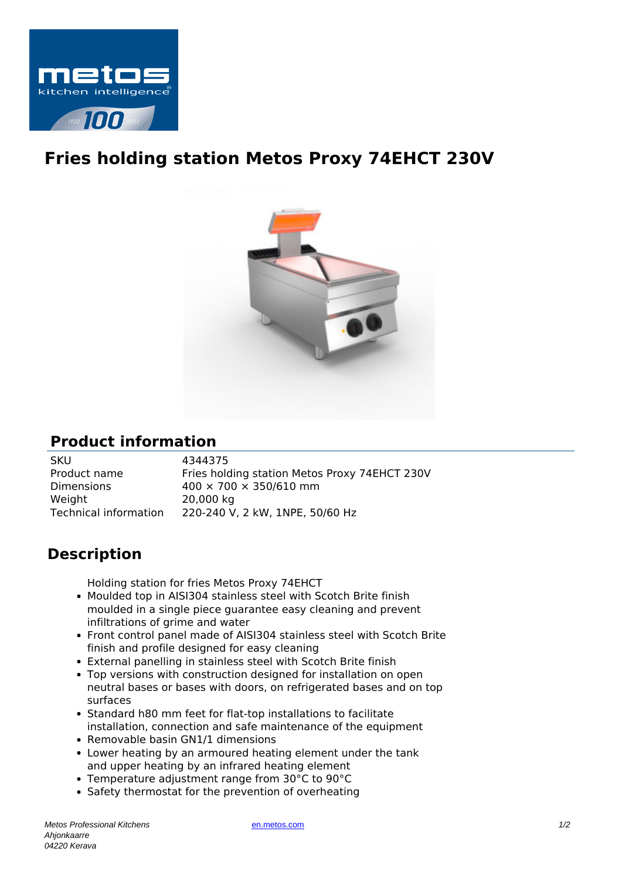

## **Fries holding station Metos Proxy 74EHCT 230V**



## **Product information**

| <b>SKU</b>            | 4344375                                       |
|-----------------------|-----------------------------------------------|
| Product name          | Fries holding station Metos Proxy 74EHCT 230V |
| <b>Dimensions</b>     | $400 \times 700 \times 350/610$ mm            |
| Weight                | 20,000 kg                                     |
| Technical information | 220-240 V, 2 kW, 1NPE, 50/60 Hz               |

## **Description**

Holding station for fries Metos Proxy 74EHCT

- Moulded top in AISI304 stainless steel with Scotch Brite finish moulded in a single piece guarantee easy cleaning and prevent infiltrations of grime and water
- Front control panel made of AISI304 stainless steel with Scotch Brite finish and profile designed for easy cleaning
- External panelling in stainless steel with Scotch Brite finish
- Top versions with construction designed for installation on open neutral bases or bases with doors, on refrigerated bases and on top surfaces
- Standard h80 mm feet for flat-top installations to facilitate installation, connection and safe maintenance of the equipment
- Removable basin GN1/1 dimensions
- Lower heating by an armoured heating element under the tank and upper heating by an infrared heating element
- Temperature adjustment range from 30°C to 90°C
- Safety thermostat for the prevention of overheating